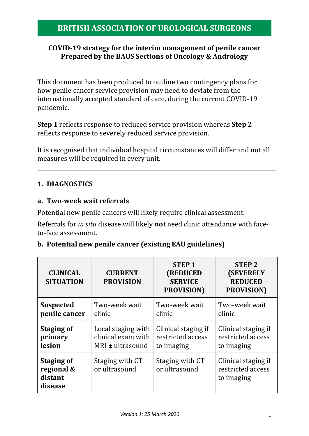### **COVID-19 strategy for the interim management of penile cancer Prepared by the BAUS Sections of Oncology & Andrology**

This document has been produced to outline two contingency plans for how penile cancer service provision may need to deviate from the internationally accepted standard of care, during the current COVID-19 pandemic.

**Step 1** reflects response to reduced service provision whereas **Step 2** reflects response to severely reduced service provision.

It is recognised that individual hospital circumstances will differ and not all measures will be required in every unit.

# **1. DIAGNOSTICS**

### **a. Two-week wait referrals**

Potential new penile cancers will likely require clinical assessment.

Referrals for *in situ* disease will likely **not** need clinic attendance with faceto-face assessment.

### **b. Potential new penile cancer (existing EAU guidelines)**

| <b>CLINICAL</b><br><b>SITUATION</b>                   | <b>CURRENT</b><br><b>PROVISION</b> | <b>STEP1</b><br><b>(REDUCED</b><br><b>SERVICE</b><br><b>PROVISION</b> ) | <b>STEP 2</b><br><b>(SEVERELY</b><br><b>REDUCED</b><br><b>PROVISION</b> ) |
|-------------------------------------------------------|------------------------------------|-------------------------------------------------------------------------|---------------------------------------------------------------------------|
| <b>Suspected</b>                                      | Two-week wait                      | Two-week wait                                                           | Two-week wait                                                             |
| penile cancer                                         | clinic                             | clinic                                                                  | clinic                                                                    |
| <b>Staging of</b>                                     | Local staging with                 | Clinical staging if                                                     | Clinical staging if                                                       |
| primary                                               | clinical exam with                 | restricted access                                                       | restricted access                                                         |
| lesion                                                | $MRI \pm ultrasound$               | to imaging                                                              | to imaging                                                                |
| <b>Staging of</b><br>regional &<br>distant<br>disease | Staging with CT<br>or ultrasound   | Staging with CT<br>or ultrasound                                        | Clinical staging if<br>restricted access<br>to imaging                    |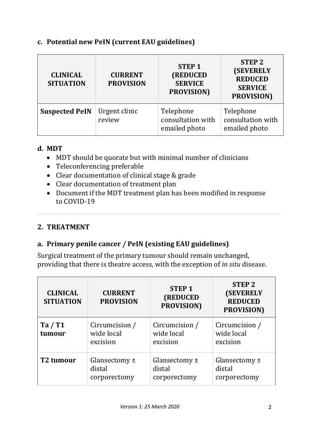### **c. Potential new PeIN (current EAU guidelines)**

| <b>CLINICAL</b><br><b>SITUATION</b> | <b>CURRENT</b><br><b>PROVISION</b> | <b>STEP1</b><br>(REDUCED<br><b>SERVICE</b><br>PROVISION) | <b>STEP 2</b><br><b>(SEVERELY</b><br><b>REDUCED</b><br><b>SERVICE</b><br>PROVISION) |
|-------------------------------------|------------------------------------|----------------------------------------------------------|-------------------------------------------------------------------------------------|
| <b>Suspected PeIN</b>               | Urgent clinic<br>review            | Telephone<br>consultation with<br>emailed photo          | Telephone<br>consultation with<br>emailed photo                                     |

### **d. MDT**

- MDT should be quorate but with minimal number of clinicians
- Teleconferencing preferable
- Clear documentation of clinical stage & grade
- Clear documentation of treatment plan
- Document if the MDT treatment plan has been modified in response to COVID-19

## **2. TREATMENT**

## **a. Primary penile cancer / PeIN (existing EAU guidelines)**

Surgical treatment of the primary tumour should remain unchanged, providing that there is theatre access, with the exception of *in situ* disease.

| <b>CLINICAL</b><br><b>SITUATION</b> | <b>CURRENT</b><br><b>PROVISION</b>          | <b>STEP1</b><br><b>(REDUCED</b><br>PROVISION) | <b>STEP 2</b><br><b>(SEVERELY</b><br><b>REDUCED</b><br>PROVISION) |
|-------------------------------------|---------------------------------------------|-----------------------------------------------|-------------------------------------------------------------------|
| Ta / T1<br>tumour                   | Circumcision /<br>wide local<br>excision    | Circumcision /<br>wide local<br>excision      | Circumcision /<br>wide local<br>excision                          |
| T <sub>2</sub> tumour               | Glansectomy $\pm$<br>distal<br>corporectomy | Glansectomy $\pm$<br>distal<br>corporectomy   | Glansectomy $\pm$<br>distal<br>corporectomy                       |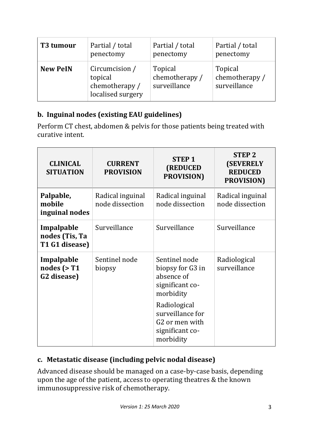| T <sub>3</sub> tumour | Partial / total                                                  | Partial / total                           | Partial / total                           |
|-----------------------|------------------------------------------------------------------|-------------------------------------------|-------------------------------------------|
|                       | penectomy                                                        | penectomy                                 | penectomy                                 |
| <b>New PeIN</b>       | Circumcision /<br>topical<br>chemotherapy /<br>localised surgery | Topical<br>chemotherapy /<br>surveillance | Topical<br>chemotherapy /<br>surveillance |

# **b. Inguinal nodes (existing EAU guidelines)**

Perform CT chest, abdomen & pelvis for those patients being treated with curative intent.

| <b>CLINICAL</b><br><b>SITUATION</b>                    | <b>CURRENT</b><br><b>PROVISION</b>  | <b>STEP 1</b><br>(REDUCED<br><b>PROVISION</b> )                                                                                                                                   | <b>STEP 2</b><br><b>(SEVERELY</b><br><b>REDUCED</b><br><b>PROVISION</b> ) |
|--------------------------------------------------------|-------------------------------------|-----------------------------------------------------------------------------------------------------------------------------------------------------------------------------------|---------------------------------------------------------------------------|
| Palpable,<br>mobile<br>inguinal nodes                  | Radical inguinal<br>node dissection | Radical inguinal<br>node dissection                                                                                                                                               | Radical inguinal<br>node dissection                                       |
| Impalpable<br>nodes (Tis, Ta<br>T1 G1 disease)         | Surveillance                        | Surveillance                                                                                                                                                                      | Surveillance                                                              |
| Impalpable<br>nodes $($ >T1<br>G <sub>2</sub> disease) | Sentinel node<br>biopsy             | Sentinel node<br>biopsy for G3 in<br>absence of<br>significant co-<br>morbidity<br>Radiological<br>surveillance for<br>G <sub>2</sub> or men with<br>significant co-<br>morbidity | Radiological<br>surveillance                                              |

# **c. Metastatic disease (including pelvic nodal disease)**

Advanced disease should be managed on a case-by-case basis, depending upon the age of the patient, access to operating theatres & the known immunosuppressive risk of chemotherapy.